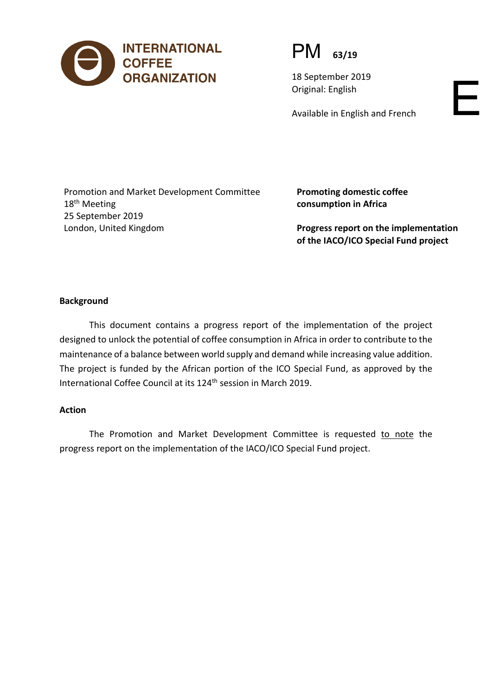

PM **63/19**

18 September 2019 Original: English

Available in English and French

Promotion and Market Development Committee 18<sup>th</sup> Meeting 25 September 2019 London, United Kingdom

**Promoting domestic coffee consumption in Africa**

**Progress report on the implementation of the IACO/ICO Special Fund project**

#### **Background**

This document contains a progress report of the implementation of the project designed to unlock the potential of coffee consumption in Africa in order to contribute to the maintenance of a balance between world supply and demand while increasing value addition. The project is funded by the African portion of the ICO Special Fund, as approved by the International Coffee Council at its 124<sup>th</sup> session in March 2019.

#### **Action**

The Promotion and Market Development Committee is requested to note the progress report on the implementation of the IACO/ICO Special Fund project.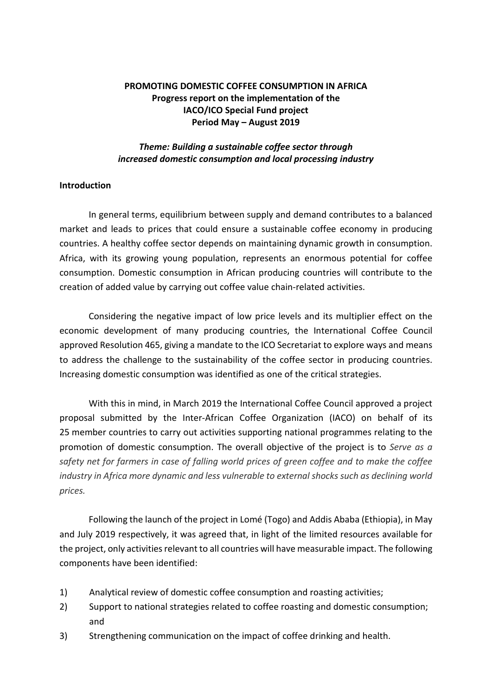## **PROMOTING DOMESTIC COFFEE CONSUMPTION IN AFRICA Progress report on the implementation of the IACO/ICO Special Fund project Period May – August 2019**

### *Theme: Building a sustainable coffee sector through increased domestic consumption and local processing industry*

#### **Introduction**

In general terms, equilibrium between supply and demand contributes to a balanced market and leads to prices that could ensure a sustainable coffee economy in producing countries. A healthy coffee sector depends on maintaining dynamic growth in consumption. Africa, with its growing young population, represents an enormous potential for coffee consumption. Domestic consumption in African producing countries will contribute to the creation of added value by carrying out coffee value chain-related activities.

Considering the negative impact of low price levels and its multiplier effect on the economic development of many producing countries, the International Coffee Council approved Resolution 465, giving a mandate to the ICO Secretariat to explore ways and means to address the challenge to the sustainability of the coffee sector in producing countries. Increasing domestic consumption was identified as one of the critical strategies.

With this in mind, in March 2019 the International Coffee Council approved a project proposal submitted by the Inter-African Coffee Organization (IACO) on behalf of its 25 member countries to carry out activities supporting national programmes relating to the promotion of domestic consumption. The overall objective of the project is to *Serve as a safety net for farmers in case of falling world prices of green coffee and to make the coffee industry in Africa more dynamic and less vulnerable to external shocks such as declining world prices.*

Following the launch of the project in Lomé (Togo) and Addis Ababa (Ethiopia), in May and July 2019 respectively, it was agreed that, in light of the limited resources available for the project, only activities relevant to all countries will have measurable impact. The following components have been identified:

- 1) Analytical review of domestic coffee consumption and roasting activities;
- 2) Support to national strategies related to coffee roasting and domestic consumption; and
- 3) Strengthening communication on the impact of coffee drinking and health.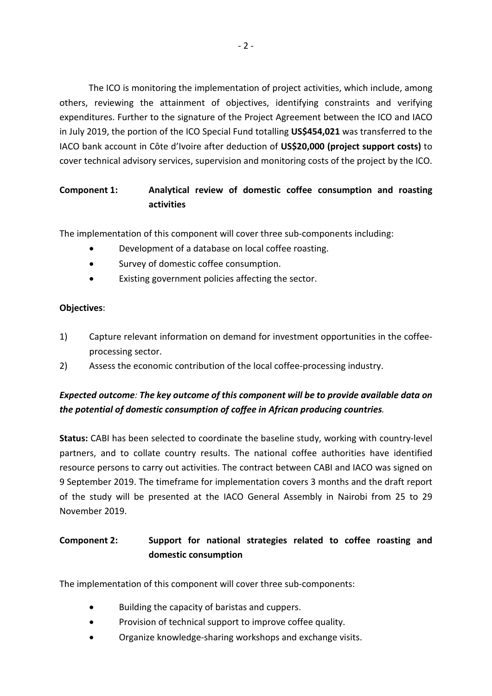The ICO is monitoring the implementation of project activities, which include, among others, reviewing the attainment of objectives, identifying constraints and verifying expenditures. Further to the signature of the Project Agreement between the ICO and IACO in July 2019, the portion of the ICO Special Fund totalling **US\$454,021** was transferred to the IACO bank account in Côte d'Ivoire after deduction of **US\$20,000 (project support costs)** to cover technical advisory services, supervision and monitoring costs of the project by the ICO.

## **Component 1: Analytical review of domestic coffee consumption and roasting activities**

The implementation of this component will cover three sub-components including:

- Development of a database on local coffee roasting.
- Survey of domestic coffee consumption.
- Existing government policies affecting the sector.

### **Objectives**:

- 1) Capture relevant information on demand for investment opportunities in the coffeeprocessing sector.
- 2) Assess the economic contribution of the local coffee-processing industry.

# *Expected outcome: The key outcome of this component will be to provide available data on the potential of domestic consumption of coffee in African producing countries.*

**Status:** CABI has been selected to coordinate the baseline study, working with country-level partners, and to collate country results. The national coffee authorities have identified resource persons to carry out activities. The contract between CABI and IACO was signed on 9 September 2019. The timeframe for implementation covers 3 months and the draft report of the study will be presented at the IACO General Assembly in Nairobi from 25 to 29 November 2019.

# **Component 2: Support for national strategies related to coffee roasting and domestic consumption**

The implementation of this component will cover three sub-components:

- Building the capacity of baristas and cuppers.
- Provision of technical support to improve coffee quality.
- Organize knowledge-sharing workshops and exchange visits.